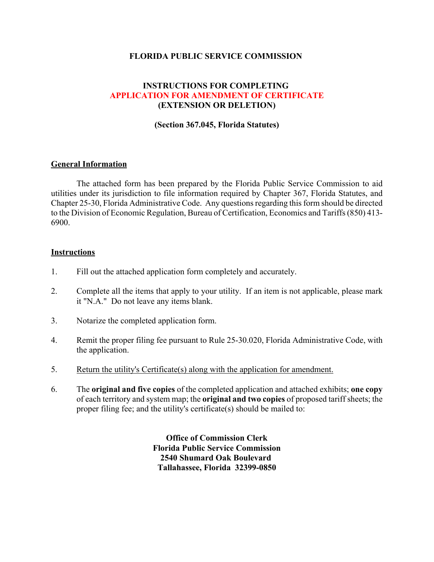### **FLORIDA PUBLIC SERVICE COMMISSION**

## **INSTRUCTIONS FOR COMPLETING APPLICATION FOR AMENDMENT OF CERTIFICATE (EXTENSION OR DELETION)**

#### **(Section 367.045, Florida Statutes)**

### **General Information**

The attached form has been prepared by the Florida Public Service Commission to aid utilities under its jurisdiction to file information required by Chapter 367, Florida Statutes, and Chapter 25-30, Florida Administrative Code. Any questions regarding this form should be directed to the Division of Economic Regulation, Bureau of Certification, Economics and Tariffs (850) 413- 6900.

#### **Instructions**

- 1. Fill out the attached application form completely and accurately.
- 2. Complete all the items that apply to your utility. If an item is not applicable, please mark it "N.A." Do not leave any items blank.
- 3. Notarize the completed application form.
- 4. Remit the proper filing fee pursuant to Rule 25-30.020, Florida Administrative Code, with the application.
- 5. Return the utility's Certificate(s) along with the application for amendment.
- 6. The **original and five copies** of the completed application and attached exhibits; **one copy** of each territory and system map; the **original and two copies** of proposed tariff sheets; the proper filing fee; and the utility's certificate(s) should be mailed to:

**Office of Commission Clerk Florida Public Service Commission 2540 Shumard Oak Boulevard Tallahassee, Florida 32399-0850**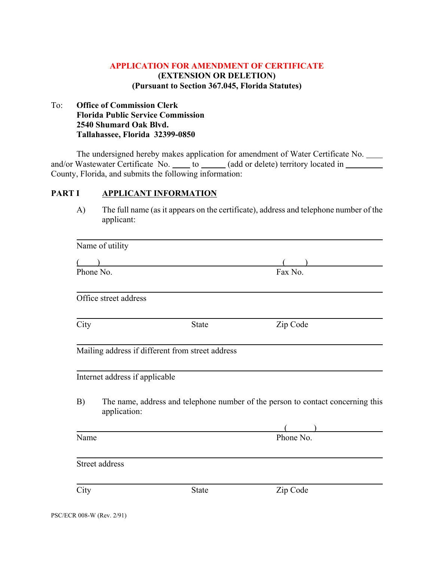## **APPLICATION FOR AMENDMENT OF CERTIFICATE (EXTENSION OR DELETION) (Pursuant to Section 367.045, Florida Statutes)**

## To: **Office of Commission Clerk Florida Public Service Commission 2540 Shumard Oak Blvd. Tallahassee, Florida 32399-0850**

The undersigned hereby makes application for amendment of Water Certificate No. and/or Wastewater Certificate No.  $\qquad$  to  $\qquad$  (add or delete) territory located in County, Florida, and submits the following information:

#### PART I **APPLICANT INFORMATION**

A) The full name (as it appears on the certificate), address and telephone number of the applicant:

|           | Name of utility                |                                                  |                                                                                 |
|-----------|--------------------------------|--------------------------------------------------|---------------------------------------------------------------------------------|
|           |                                |                                                  |                                                                                 |
| Phone No. |                                |                                                  | Fax No.                                                                         |
|           | Office street address          |                                                  |                                                                                 |
| City      |                                | <b>State</b>                                     | Zip Code                                                                        |
|           |                                | Mailing address if different from street address |                                                                                 |
|           | Internet address if applicable |                                                  |                                                                                 |
| B)        | application:                   |                                                  | The name, address and telephone number of the person to contact concerning this |
|           |                                |                                                  |                                                                                 |
| Name      |                                |                                                  | $\frac{1}{\text{Phone No.}}$                                                    |
|           | Street address                 |                                                  |                                                                                 |
| City      |                                | <b>State</b>                                     | Zip Code                                                                        |
|           |                                |                                                  |                                                                                 |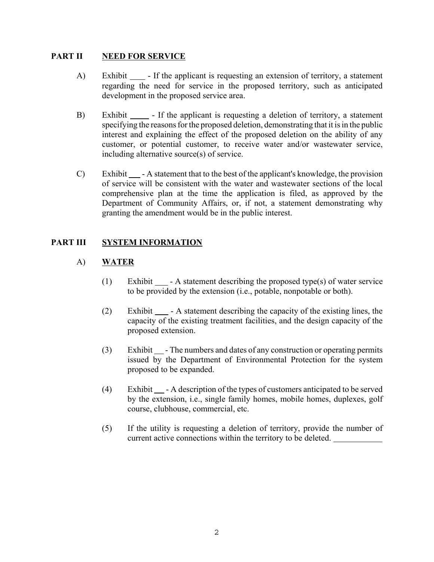### **PART II NEED FOR SERVICE**

- A) Exhibit If the applicant is requesting an extension of territory, a statement regarding the need for service in the proposed territory, such as anticipated development in the proposed service area.
- B) Exhibit If the applicant is requesting a deletion of territory, a statement specifying the reasons for the proposed deletion, demonstrating that it is in the public interest and explaining the effect of the proposed deletion on the ability of any customer, or potential customer, to receive water and/or wastewater service, including alternative source(s) of service.
- C) Exhibit A statement that to the best of the applicant's knowledge, the provision of service will be consistent with the water and wastewater sections of the local comprehensive plan at the time the application is filed, as approved by the Department of Community Affairs, or, if not, a statement demonstrating why granting the amendment would be in the public interest.

## **PART III SYSTEM INFORMATION**

## A) **WATER**

- (1) Exhibit A statement describing the proposed type(s) of water service to be provided by the extension (i.e., potable, nonpotable or both).
- (2) Exhibit A statement describing the capacity of the existing lines, the capacity of the existing treatment facilities, and the design capacity of the proposed extension.
- $(3)$  Exhibit  $\blacksquare$  The numbers and dates of any construction or operating permits issued by the Department of Environmental Protection for the system proposed to be expanded.
- $(4)$  Exhibit  $\Box$  A description of the types of customers anticipated to be served by the extension, i.e., single family homes, mobile homes, duplexes, golf course, clubhouse, commercial, etc.
- (5) If the utility is requesting a deletion of territory, provide the number of current active connections within the territory to be deleted.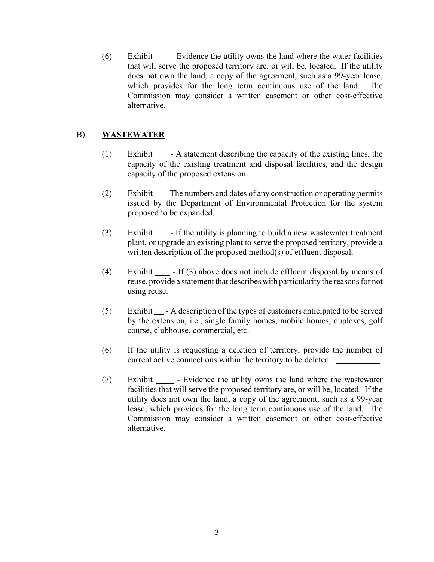$(6)$  Exhibit  $\quad$  - Evidence the utility owns the land where the water facilities that will serve the proposed territory are, or will be, located. If the utility does not own the land, a copy of the agreement, such as a 99-year lease, which provides for the long term continuous use of the land. The Commission may consider a written easement or other cost-effective alternative.

## B) **WASTEWATER**

- (1) Exhibit A statement describing the capacity of the existing lines, the capacity of the existing treatment and disposal facilities, and the design capacity of the proposed extension.
- (2) Exhibit  $\Box$  The numbers and dates of any construction or operating permits issued by the Department of Environmental Protection for the system proposed to be expanded.
- $(3)$  Exhibit  $\Box$  If the utility is planning to build a new wastewater treatment plant, or upgrade an existing plant to serve the proposed territory, provide a written description of the proposed method(s) of effluent disposal.
- (4) Exhibit  $\Box$  If (3) above does not include effluent disposal by means of reuse, provide a statement that describes with particularity the reasons for not using reuse.
- (5) Exhibit A description of the types of customers anticipated to be served by the extension, i.e., single family homes, mobile homes, duplexes, golf course, clubhouse, commercial, etc.
- (6) If the utility is requesting a deletion of territory, provide the number of current active connections within the territory to be deleted.
- (7) Exhibit Evidence the utility owns the land where the wastewater facilities that will serve the proposed territory are, or will be, located. If the utility does not own the land, a copy of the agreement, such as a 99-year lease, which provides for the long term continuous use of the land. The Commission may consider a written easement or other cost-effective alternative.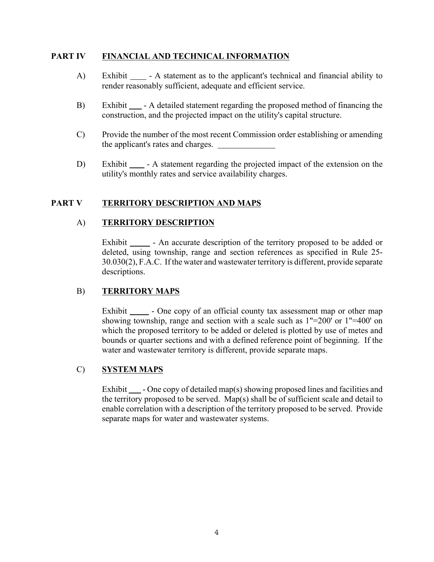## **PART IV FINANCIAL AND TECHNICAL INFORMATION**

- A) Exhibit A statement as to the applicant's technical and financial ability to render reasonably sufficient, adequate and efficient service.
- B) Exhibit  $\Box$  A detailed statement regarding the proposed method of financing the construction, and the projected impact on the utility's capital structure.
- C) Provide the number of the most recent Commission order establishing or amending the applicant's rates and charges.
- D) Exhibit A statement regarding the projected impact of the extension on the utility's monthly rates and service availability charges.

### **PART V TERRITORY DESCRIPTION AND MAPS**

### A) **TERRITORY DESCRIPTION**

Exhibit - An accurate description of the territory proposed to be added or deleted, using township, range and section references as specified in Rule 25- 30.030(2), F.A.C. If the water and wastewater territory is different, provide separate descriptions.

## B) **TERRITORY MAPS**

Exhibit - One copy of an official county tax assessment map or other map showing township, range and section with a scale such as 1"=200' or 1"=400' on which the proposed territory to be added or deleted is plotted by use of metes and bounds or quarter sections and with a defined reference point of beginning. If the water and wastewater territory is different, provide separate maps.

#### C) **SYSTEM MAPS**

Exhibit  $\Box$  - One copy of detailed map(s) showing proposed lines and facilities and the territory proposed to be served. Map(s) shall be of sufficient scale and detail to enable correlation with a description of the territory proposed to be served. Provide separate maps for water and wastewater systems.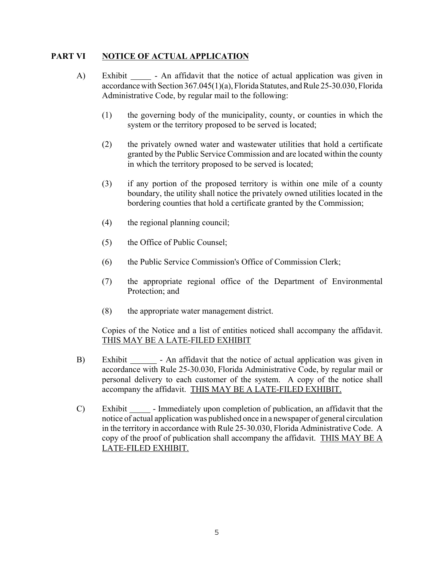### **PART VI NOTICE OF ACTUAL APPLICATION**

- A) Exhibit An affidavit that the notice of actual application was given in accordance with Section 367.045(1)(a), Florida Statutes, and Rule 25-30.030, Florida Administrative Code, by regular mail to the following:
	- (1) the governing body of the municipality, county, or counties in which the system or the territory proposed to be served is located;
	- (2) the privately owned water and wastewater utilities that hold a certificate granted by the Public Service Commission and are located within the county in which the territory proposed to be served is located;
	- (3) if any portion of the proposed territory is within one mile of a county boundary, the utility shall notice the privately owned utilities located in the bordering counties that hold a certificate granted by the Commission;
	- (4) the regional planning council;
	- (5) the Office of Public Counsel;
	- (6) the Public Service Commission's Office of Commission Clerk;
	- (7) the appropriate regional office of the Department of Environmental Protection; and
	- (8) the appropriate water management district.

Copies of the Notice and a list of entities noticed shall accompany the affidavit. THIS MAY BE A LATE-FILED EXHIBIT

- B) Exhibit An affidavit that the notice of actual application was given in accordance with Rule 25-30.030, Florida Administrative Code, by regular mail or personal delivery to each customer of the system. A copy of the notice shall accompany the affidavit. THIS MAY BE A LATE-FILED EXHIBIT.
- C) Exhibit Immediately upon completion of publication, an affidavit that the notice of actual application was published once in a newspaper of general circulation in the territory in accordance with Rule 25-30.030, Florida Administrative Code. A copy of the proof of publication shall accompany the affidavit. THIS MAY BE A LATE-FILED EXHIBIT.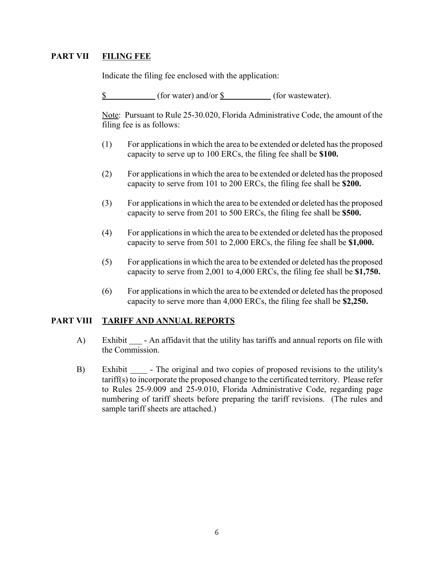## **PART VII FILING FEE**

Indicate the filing fee enclosed with the application:

\$ (for water) and/or \$ (for wastewater).

Note: Pursuant to Rule 25-30.020, Florida Administrative Code, the amount of the filing fee is as follows:

- (1) For applications in which the area to be extended or deleted has the proposed capacity to serve up to 100 ERCs, the filing fee shall be **\$100.**
- (2) For applications in which the area to be extended or deleted has the proposed capacity to serve from 101 to 200 ERCs, the filing fee shall be **\$200.**
- (3) For applications in which the area to be extended or deleted has the proposed capacity to serve from 201 to 500 ERCs, the filing fee shall be **\$500.**
- (4) For applications in which the area to be extended or deleted has the proposed capacity to serve from 501 to 2,000 ERCs, the filing fee shall be **\$1,000.**
- (5) For applications in which the area to be extended or deleted has the proposed capacity to serve from 2,001 to 4,000 ERCs, the filing fee shall be **\$1,750.**
- (6) For applications in which the area to be extended or deleted has the proposed capacity to serve more than 4,000 ERCs, the filing fee shall be **\$2,250.**

#### **PART VIII TARIFF AND ANNUAL REPORTS**

- A) Exhibit An affidavit that the utility has tariffs and annual reports on file with the Commission.
- B) Exhibit  $\Box$  The original and two copies of proposed revisions to the utility's tariff(s) to incorporate the proposed change to the certificated territory. Please refer to Rules 25-9.009 and 25-9.010, Florida Administrative Code, regarding page numbering of tariff sheets before preparing the tariff revisions. (The rules and sample tariff sheets are attached.)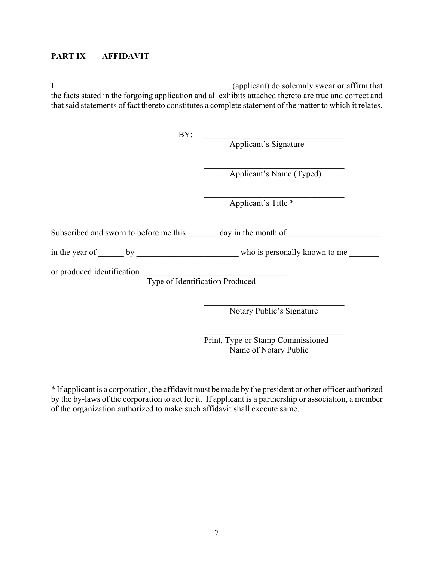## **PART IX AFFIDAVIT**

I applicant) do solemnly swear or affirm that the facts stated in the forgoing application and all exhibits attached thereto are true and correct and that said statements of fact thereto constitutes a complete statement of the matter to which it relates.

| BY:                                                                  | Applicant's Signature     |  |  |  |  |  |  |
|----------------------------------------------------------------------|---------------------------|--|--|--|--|--|--|
|                                                                      | Applicant's Name (Typed)  |  |  |  |  |  |  |
|                                                                      | Applicant's Title *       |  |  |  |  |  |  |
| Subscribed and sworn to before me this day in the month of           |                           |  |  |  |  |  |  |
| in the year of by who is personally known to me                      |                           |  |  |  |  |  |  |
| or produced identification<br><b>Type of Identification Produced</b> |                           |  |  |  |  |  |  |
|                                                                      | Notary Public's Signature |  |  |  |  |  |  |

Print, Type or Stamp Commissioned Name of Notary Public

 $\mathcal{L}_\text{max}$  , and the set of the set of the set of the set of the set of the set of the set of the set of the set of the set of the set of the set of the set of the set of the set of the set of the set of the set of the

\* If applicant is a corporation, the affidavit must be made by the president or other officer authorized by the by-laws of the corporation to act for it. If applicant is a partnership or association, a member of the organization authorized to make such affidavit shall execute same.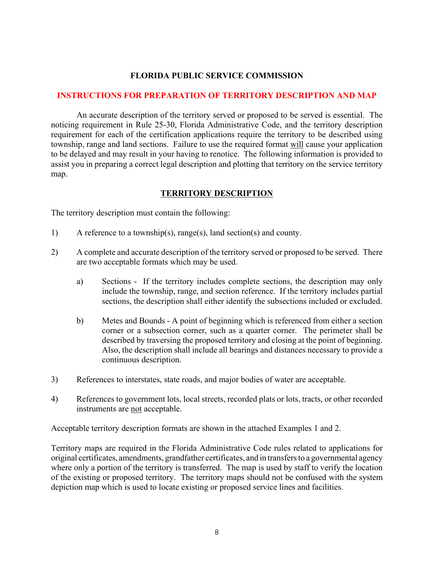## **FLORIDA PUBLIC SERVICE COMMISSION**

#### **INSTRUCTIONS FOR PREPARATION OF TERRITORY DESCRIPTION AND MAP**

An accurate description of the territory served or proposed to be served is essential. The noticing requirement in Rule 25-30, Florida Administrative Code, and the territory description requirement for each of the certification applications require the territory to be described using township, range and land sections. Failure to use the required format will cause your application to be delayed and may result in your having to renotice. The following information is provided to assist you in preparing a correct legal description and plotting that territory on the service territory map.

## **TERRITORY DESCRIPTION**

The territory description must contain the following:

- 1) A reference to a township(s), range(s), land section(s) and county.
- 2) A complete and accurate description of the territory served or proposed to be served. There are two acceptable formats which may be used.
	- a) Sections If the territory includes complete sections, the description may only include the township, range, and section reference. If the territory includes partial sections, the description shall either identify the subsections included or excluded.
	- b) Metes and Bounds A point of beginning which is referenced from either a section corner or a subsection corner, such as a quarter corner. The perimeter shall be described by traversing the proposed territory and closing at the point of beginning. Also, the description shall include all bearings and distances necessary to provide a continuous description.
- 3) References to interstates, state roads, and major bodies of water are acceptable.
- 4) References to government lots, local streets, recorded plats or lots, tracts, or other recorded instruments are not acceptable.

Acceptable territory description formats are shown in the attached Examples 1 and 2.

Territory maps are required in the Florida Administrative Code rules related to applications for original certificates, amendments, grandfather certificates, and in transfers to a governmental agency where only a portion of the territory is transferred. The map is used by staff to verify the location of the existing or proposed territory. The territory maps should not be confused with the system depiction map which is used to locate existing or proposed service lines and facilities.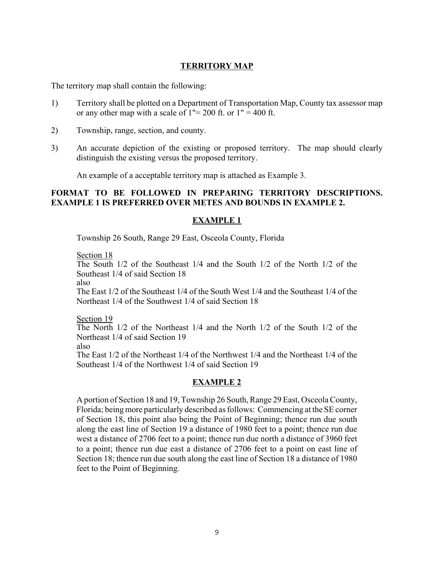## **TERRITORY MAP**

The territory map shall contain the following:

- 1) Territory shall be plotted on a Department of Transportation Map, County tax assessor map or any other map with a scale of  $1" = 200$  ft. or  $1" = 400$  ft.
- 2) Township, range, section, and county.
- 3) An accurate depiction of the existing or proposed territory. The map should clearly distinguish the existing versus the proposed territory.

An example of a acceptable territory map is attached as Example 3.

#### **FORMAT TO BE FOLLOWED IN PREPARING TERRITORY DESCRIPTIONS. EXAMPLE 1 IS PREFERRED OVER METES AND BOUNDS IN EXAMPLE 2.**

#### **EXAMPLE 1**

Township 26 South, Range 29 East, Osceola County, Florida

Section 18

The South 1/2 of the Southeast 1/4 and the South 1/2 of the North 1/2 of the Southeast 1/4 of said Section 18

also

The East 1/2 of the Southeast 1/4 of the South West 1/4 and the Southeast 1/4 of the Northeast 1/4 of the Southwest 1/4 of said Section 18

Section 19

The North 1/2 of the Northeast 1/4 and the North 1/2 of the South 1/2 of the Northeast 1/4 of said Section 19

also

The East 1/2 of the Northeast 1/4 of the Northwest 1/4 and the Northeast 1/4 of the Southeast 1/4 of the Northwest 1/4 of said Section 19

#### **EXAMPLE 2**

A portion of Section 18 and 19, Township 26 South, Range 29 East, Osceola County, Florida; being more particularly described as follows: Commencing at the SE corner of Section 18, this point also being the Point of Beginning; thence run due south along the east line of Section 19 a distance of 1980 feet to a point; thence run due west a distance of 2706 feet to a point; thence run due north a distance of 3960 feet to a point; thence run due east a distance of 2706 feet to a point on east line of Section 18; thence run due south along the east line of Section 18 a distance of 1980 feet to the Point of Beginning.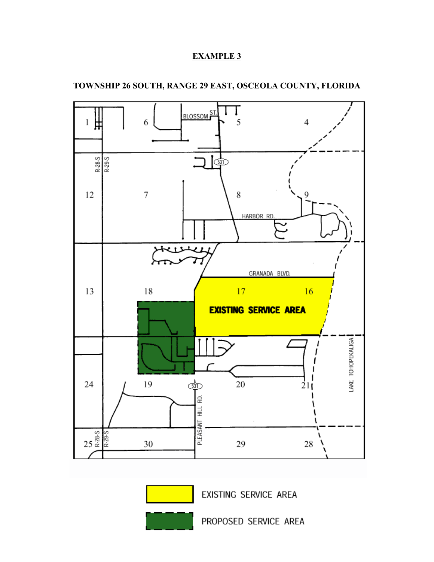# **EXAMPLE 3**



## **TOWNSHIP 26 SOUTH, RANGE 29 EAST, OSCEOLA COUNTY, FLORIDA**



EXISTING SERVICE AREA

PROPOSED SERVICE AREA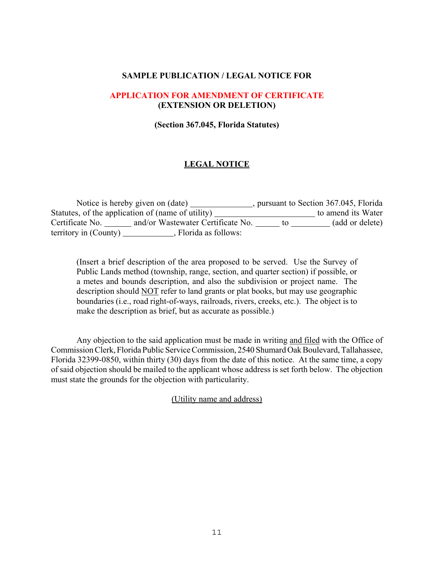#### **SAMPLE PUBLICATION / LEGAL NOTICE FOR**

#### **APPLICATION FOR AMENDMENT OF CERTIFICATE (EXTENSION OR DELETION)**

**(Section 367.045, Florida Statutes)**

## **LEGAL NOTICE**

|                       | Notice is hereby given on (date)                  | , pursuant to Section 367.045, Florida |                    |  |
|-----------------------|---------------------------------------------------|----------------------------------------|--------------------|--|
|                       | Statutes, of the application of (name of utility) |                                        | to amend its Water |  |
| Certificate No.       | and/or Wastewater Certificate No.                 | TO.                                    | (add or delete)    |  |
| territory in (County) | , Florida as follows:                             |                                        |                    |  |

(Insert a brief description of the area proposed to be served. Use the Survey of Public Lands method (township, range, section, and quarter section) if possible, or a metes and bounds description, and also the subdivision or project name. The description should NOT refer to land grants or plat books, but may use geographic boundaries (i.e., road right-of-ways, railroads, rivers, creeks, etc.). The object is to make the description as brief, but as accurate as possible.)

Any objection to the said application must be made in writing and filed with the Office of Commission Clerk, Florida Public Service Commission, 2540 Shumard Oak Boulevard, Tallahassee, Florida 32399-0850, within thirty (30) days from the date of this notice. At the same time, a copy of said objection should be mailed to the applicant whose address is set forth below. The objection must state the grounds for the objection with particularity.

(Utility name and address)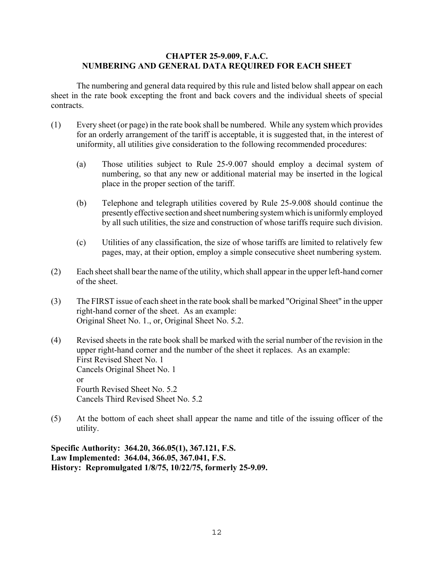#### **CHAPTER 25-9.009, F.A.C. NUMBERING AND GENERAL DATA REQUIRED FOR EACH SHEET**

The numbering and general data required by this rule and listed below shall appear on each sheet in the rate book excepting the front and back covers and the individual sheets of special contracts.

- (1) Every sheet (or page) in the rate book shall be numbered. While any system which provides for an orderly arrangement of the tariff is acceptable, it is suggested that, in the interest of uniformity, all utilities give consideration to the following recommended procedures:
	- (a) Those utilities subject to Rule 25-9.007 should employ a decimal system of numbering, so that any new or additional material may be inserted in the logical place in the proper section of the tariff.
	- (b) Telephone and telegraph utilities covered by Rule 25-9.008 should continue the presently effective section and sheet numbering system which is uniformly employed by all such utilities, the size and construction of whose tariffs require such division.
	- (c) Utilities of any classification, the size of whose tariffs are limited to relatively few pages, may, at their option, employ a simple consecutive sheet numbering system.
- (2) Each sheet shall bear the name of the utility, which shall appear in the upper left-hand corner of the sheet.
- (3) The FIRST issue of each sheet in the rate book shall be marked "Original Sheet" in the upper right-hand corner of the sheet. As an example: Original Sheet No. 1., or, Original Sheet No. 5.2.
- (4) Revised sheets in the rate book shall be marked with the serial number of the revision in the upper right-hand corner and the number of the sheet it replaces. As an example: First Revised Sheet No. 1 Cancels Original Sheet No. 1 or Fourth Revised Sheet No. 5.2 Cancels Third Revised Sheet No. 5.2
- (5) At the bottom of each sheet shall appear the name and title of the issuing officer of the utility.

**Specific Authority: 364.20, 366.05(1), 367.121, F.S. Law Implemented: 364.04, 366.05, 367.041, F.S. History: Repromulgated 1/8/75, 10/22/75, formerly 25-9.09.**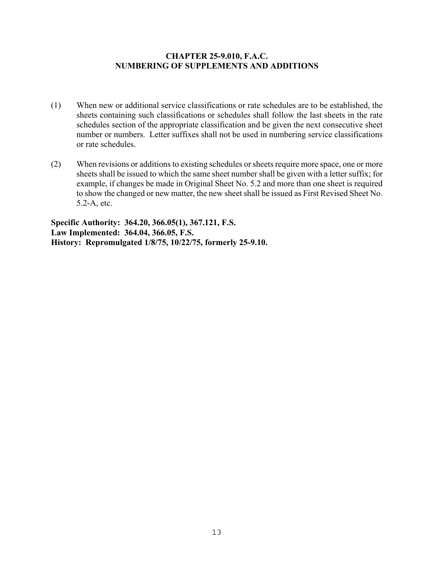### **CHAPTER 25-9.010, F.A.C. NUMBERING OF SUPPLEMENTS AND ADDITIONS**

- (1) When new or additional service classifications or rate schedules are to be established, the sheets containing such classifications or schedules shall follow the last sheets in the rate schedules section of the appropriate classification and be given the next consecutive sheet number or numbers. Letter suffixes shall not be used in numbering service classifications or rate schedules.
- (2) When revisions or additions to existing schedules or sheets require more space, one or more sheets shall be issued to which the same sheet number shall be given with a letter suffix; for example, if changes be made in Original Sheet No. 5.2 and more than one sheet is required to show the changed or new matter, the new sheet shall be issued as First Revised Sheet No. 5.2-A, etc.

**Specific Authority: 364.20, 366.05(1), 367.121, F.S. Law Implemented: 364.04, 366.05, F.S. History: Repromulgated 1/8/75, 10/22/75, formerly 25-9.10.**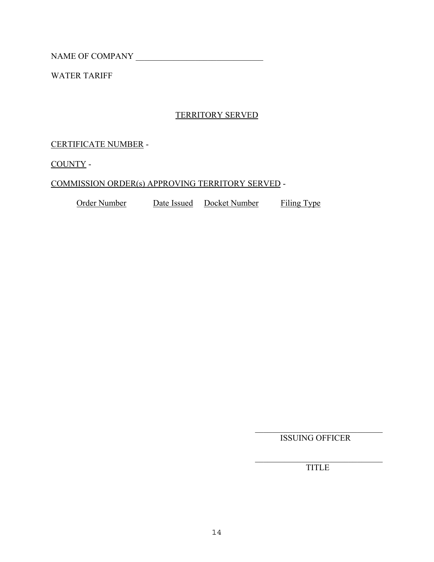WATER TARIFF

# TERRITORY SERVED

CERTIFICATE NUMBER -

COUNTY -

## COMMISSION ORDER(s) APPROVING TERRITORY SERVED -

Order Number Date Issued Docket Number Filing Type

 $\mathcal{L}_\text{max}$  , where  $\mathcal{L}_\text{max}$  and  $\mathcal{L}_\text{max}$  and  $\mathcal{L}_\text{max}$ ISSUING OFFICER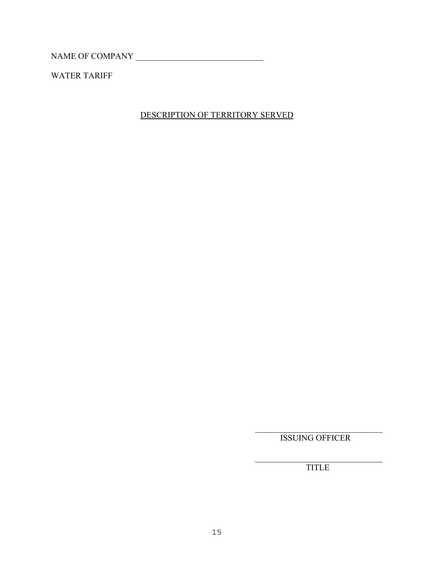WATER TARIFF

# DESCRIPTION OF TERRITORY SERVED

 $\mathcal{L}_\text{max}$  , where  $\mathcal{L}_\text{max}$  and  $\mathcal{L}_\text{max}$  and  $\mathcal{L}_\text{max}$ ISSUING OFFICER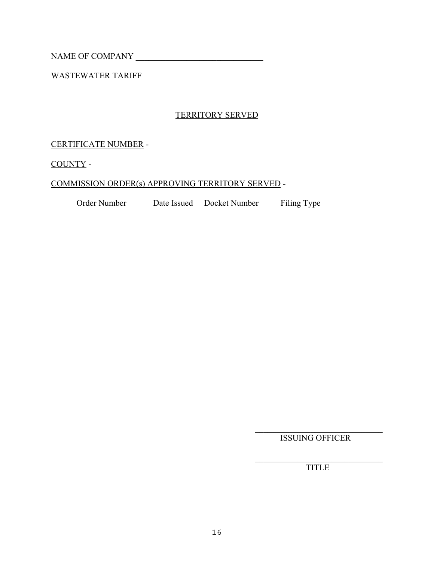WASTEWATER TARIFF

# TERRITORY SERVED

CERTIFICATE NUMBER -

COUNTY -

## COMMISSION ORDER(s) APPROVING TERRITORY SERVED -

Order Number Date Issued Docket Number Filing Type

 $\mathcal{L}_\text{max}$  , where  $\mathcal{L}_\text{max}$  and  $\mathcal{L}_\text{max}$  and  $\mathcal{L}_\text{max}$ ISSUING OFFICER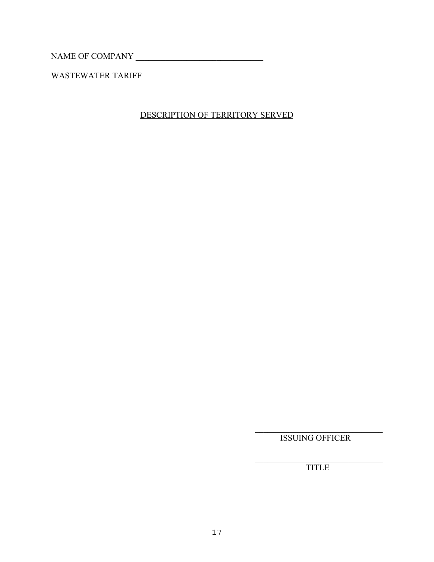WASTEWATER TARIFF

# DESCRIPTION OF TERRITORY SERVED

 $\mathcal{L}_\text{max}$  , where  $\mathcal{L}_\text{max}$  and  $\mathcal{L}_\text{max}$  and  $\mathcal{L}_\text{max}$ ISSUING OFFICER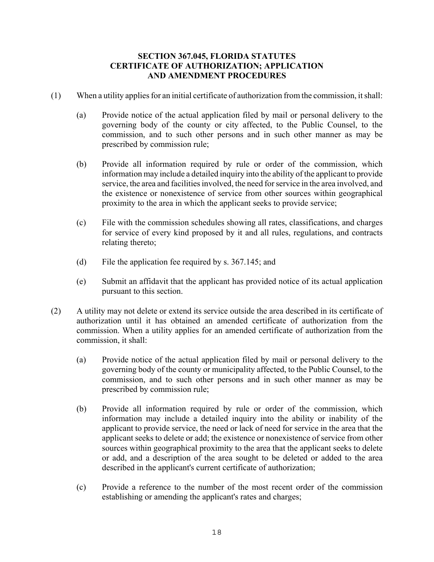### **SECTION 367.045, FLORIDA STATUTES CERTIFICATE OF AUTHORIZATION; APPLICATION AND AMENDMENT PROCEDURES**

- (1) When a utility applies for an initial certificate of authorization from the commission, it shall:
	- (a) Provide notice of the actual application filed by mail or personal delivery to the governing body of the county or city affected, to the Public Counsel, to the commission, and to such other persons and in such other manner as may be prescribed by commission rule;
	- (b) Provide all information required by rule or order of the commission, which information may include a detailed inquiry into the ability of the applicant to provide service, the area and facilities involved, the need for service in the area involved, and the existence or nonexistence of service from other sources within geographical proximity to the area in which the applicant seeks to provide service;
	- (c) File with the commission schedules showing all rates, classifications, and charges for service of every kind proposed by it and all rules, regulations, and contracts relating thereto;
	- (d) File the application fee required by s. 367.145; and
	- (e) Submit an affidavit that the applicant has provided notice of its actual application pursuant to this section.
- (2) A utility may not delete or extend its service outside the area described in its certificate of authorization until it has obtained an amended certificate of authorization from the commission. When a utility applies for an amended certificate of authorization from the commission, it shall:
	- (a) Provide notice of the actual application filed by mail or personal delivery to the governing body of the county or municipality affected, to the Public Counsel, to the commission, and to such other persons and in such other manner as may be prescribed by commission rule;
	- (b) Provide all information required by rule or order of the commission, which information may include a detailed inquiry into the ability or inability of the applicant to provide service, the need or lack of need for service in the area that the applicant seeks to delete or add; the existence or nonexistence of service from other sources within geographical proximity to the area that the applicant seeks to delete or add, and a description of the area sought to be deleted or added to the area described in the applicant's current certificate of authorization;
	- (c) Provide a reference to the number of the most recent order of the commission establishing or amending the applicant's rates and charges;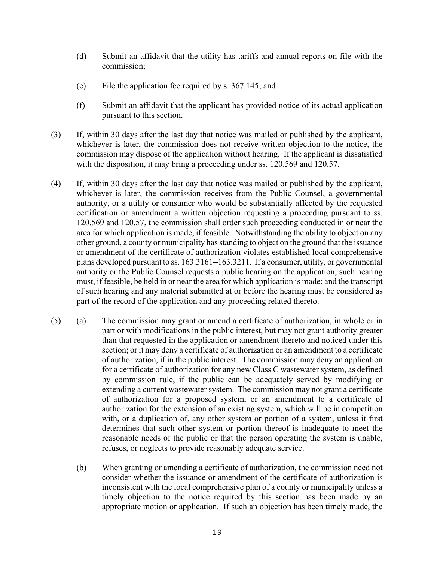- (d) Submit an affidavit that the utility has tariffs and annual reports on file with the commission;
- (e) File the application fee required by s. 367.145; and
- (f) Submit an affidavit that the applicant has provided notice of its actual application pursuant to this section.
- (3) If, within 30 days after the last day that notice was mailed or published by the applicant, whichever is later, the commission does not receive written objection to the notice, the commission may dispose of the application without hearing. If the applicant is dissatisfied with the disposition, it may bring a proceeding under ss. 120.569 and 120.57.
- (4) If, within 30 days after the last day that notice was mailed or published by the applicant, whichever is later, the commission receives from the Public Counsel, a governmental authority, or a utility or consumer who would be substantially affected by the requested certification or amendment a written objection requesting a proceeding pursuant to ss. 120.569 and 120.57, the commission shall order such proceeding conducted in or near the area for which application is made, if feasible. Notwithstanding the ability to object on any other ground, a county or municipality has standing to object on the ground that the issuance or amendment of the certificate of authorization violates established local comprehensive plans developed pursuant to ss.  $163.3161-163.3211$ . If a consumer, utility, or governmental authority or the Public Counsel requests a public hearing on the application, such hearing must, if feasible, be held in or near the area for which application is made; and the transcript of such hearing and any material submitted at or before the hearing must be considered as part of the record of the application and any proceeding related thereto.
- (5) (a) The commission may grant or amend a certificate of authorization, in whole or in part or with modifications in the public interest, but may not grant authority greater than that requested in the application or amendment thereto and noticed under this section; or it may deny a certificate of authorization or an amendment to a certificate of authorization, if in the public interest. The commission may deny an application for a certificate of authorization for any new Class C wastewater system, as defined by commission rule, if the public can be adequately served by modifying or extending a current wastewater system. The commission may not grant a certificate of authorization for a proposed system, or an amendment to a certificate of authorization for the extension of an existing system, which will be in competition with, or a duplication of, any other system or portion of a system, unless it first determines that such other system or portion thereof is inadequate to meet the reasonable needs of the public or that the person operating the system is unable, refuses, or neglects to provide reasonably adequate service.
	- (b) When granting or amending a certificate of authorization, the commission need not consider whether the issuance or amendment of the certificate of authorization is inconsistent with the local comprehensive plan of a county or municipality unless a timely objection to the notice required by this section has been made by an appropriate motion or application. If such an objection has been timely made, the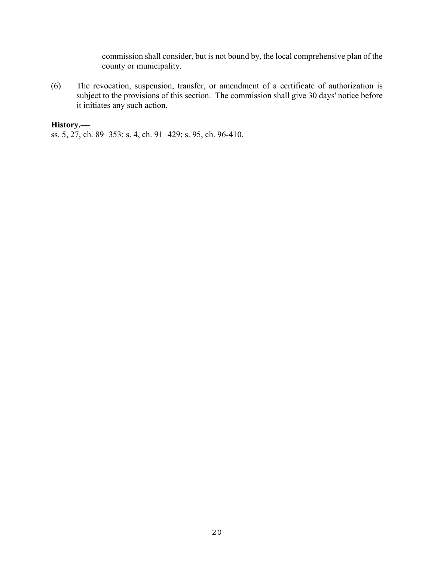commission shall consider, but is not bound by, the local comprehensive plan of the county or municipality.

(6) The revocation, suspension, transfer, or amendment of a certificate of authorization is subject to the provisions of this section. The commission shall give 30 days' notice before it initiates any such action.

## History.

ss. 5, 27, ch. 89–353; s. 4, ch. 91–429; s. 95, ch. 96-410.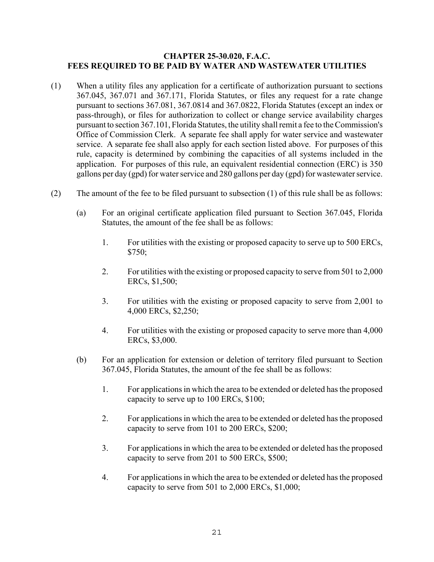#### **CHAPTER 25-30.020, F.A.C. FEES REQUIRED TO BE PAID BY WATER AND WASTEWATER UTILITIES**

- (1) When a utility files any application for a certificate of authorization pursuant to sections 367.045, 367.071 and 367.171, Florida Statutes, or files any request for a rate change pursuant to sections 367.081, 367.0814 and 367.0822, Florida Statutes (except an index or pass-through), or files for authorization to collect or change service availability charges pursuant to section 367.101, Florida Statutes, the utility shall remit a fee to the Commission's Office of Commission Clerk. A separate fee shall apply for water service and wastewater service. A separate fee shall also apply for each section listed above. For purposes of this rule, capacity is determined by combining the capacities of all systems included in the application. For purposes of this rule, an equivalent residential connection (ERC) is 350 gallons per day (gpd) for water service and 280 gallons per day (gpd) for wastewater service.
- (2) The amount of the fee to be filed pursuant to subsection (1) of this rule shall be as follows:
	- (a) For an original certificate application filed pursuant to Section 367.045, Florida Statutes, the amount of the fee shall be as follows:
		- 1. For utilities with the existing or proposed capacity to serve up to 500 ERCs, \$750;
		- 2. For utilities with the existing or proposed capacity to serve from 501 to 2,000 ERCs, \$1,500;
		- 3. For utilities with the existing or proposed capacity to serve from 2,001 to 4,000 ERCs, \$2,250;
		- 4. For utilities with the existing or proposed capacity to serve more than 4,000 ERCs, \$3,000.
	- (b) For an application for extension or deletion of territory filed pursuant to Section 367.045, Florida Statutes, the amount of the fee shall be as follows:
		- 1. For applications in which the area to be extended or deleted has the proposed capacity to serve up to 100 ERCs, \$100;
		- 2. For applications in which the area to be extended or deleted has the proposed capacity to serve from 101 to 200 ERCs, \$200;
		- 3. For applications in which the area to be extended or deleted has the proposed capacity to serve from 201 to 500 ERCs, \$500;
		- 4. For applications in which the area to be extended or deleted has the proposed capacity to serve from 501 to 2,000 ERCs, \$1,000;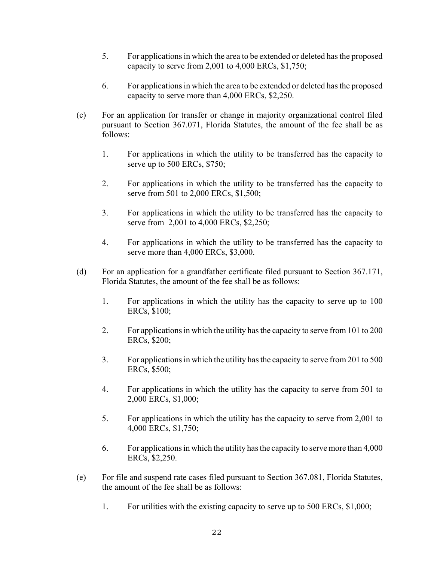- 5. For applications in which the area to be extended or deleted has the proposed capacity to serve from 2,001 to 4,000 ERCs, \$1,750;
- 6. For applications in which the area to be extended or deleted has the proposed capacity to serve more than 4,000 ERCs, \$2,250.
- (c) For an application for transfer or change in majority organizational control filed pursuant to Section 367.071, Florida Statutes, the amount of the fee shall be as follows:
	- 1. For applications in which the utility to be transferred has the capacity to serve up to 500 ERCs, \$750;
	- 2. For applications in which the utility to be transferred has the capacity to serve from 501 to 2,000 ERCs, \$1,500;
	- 3. For applications in which the utility to be transferred has the capacity to serve from 2,001 to 4,000 ERCs, \$2,250;
	- 4. For applications in which the utility to be transferred has the capacity to serve more than 4,000 ERCs, \$3,000.
- (d) For an application for a grandfather certificate filed pursuant to Section 367.171, Florida Statutes, the amount of the fee shall be as follows:
	- 1. For applications in which the utility has the capacity to serve up to 100 ERCs, \$100;
	- 2. For applications in which the utility has the capacity to serve from 101 to 200 ERCs, \$200;
	- 3. For applications in which the utility has the capacity to serve from 201 to 500 ERCs, \$500;
	- 4. For applications in which the utility has the capacity to serve from 501 to 2,000 ERCs, \$1,000;
	- 5. For applications in which the utility has the capacity to serve from 2,001 to 4,000 ERCs, \$1,750;
	- 6. For applications in which the utility has the capacity to serve more than 4,000 ERCs, \$2,250.
- (e) For file and suspend rate cases filed pursuant to Section 367.081, Florida Statutes, the amount of the fee shall be as follows:
	- 1. For utilities with the existing capacity to serve up to 500 ERCs, \$1,000;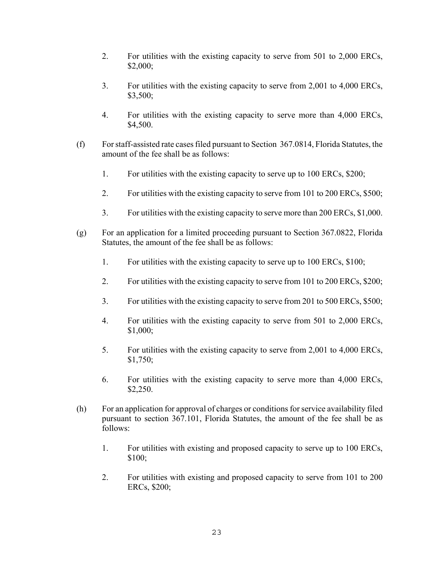- 2. For utilities with the existing capacity to serve from 501 to 2,000 ERCs, \$2,000;
- 3. For utilities with the existing capacity to serve from 2,001 to 4,000 ERCs, \$3,500;
- 4. For utilities with the existing capacity to serve more than 4,000 ERCs, \$4,500.
- (f) For staff-assisted rate cases filed pursuant to Section 367.0814, Florida Statutes, the amount of the fee shall be as follows:
	- 1. For utilities with the existing capacity to serve up to 100 ERCs, \$200;
	- 2. For utilities with the existing capacity to serve from 101 to 200 ERCs, \$500;
	- 3. For utilities with the existing capacity to serve more than 200 ERCs, \$1,000.
- (g) For an application for a limited proceeding pursuant to Section 367.0822, Florida Statutes, the amount of the fee shall be as follows:
	- 1. For utilities with the existing capacity to serve up to 100 ERCs, \$100;
	- 2. For utilities with the existing capacity to serve from 101 to 200 ERCs, \$200;
	- 3. For utilities with the existing capacity to serve from 201 to 500 ERCs, \$500;
	- 4. For utilities with the existing capacity to serve from 501 to 2,000 ERCs, \$1,000;
	- 5. For utilities with the existing capacity to serve from 2,001 to 4,000 ERCs, \$1,750;
	- 6. For utilities with the existing capacity to serve more than 4,000 ERCs, \$2,250.
- (h) For an application for approval of charges or conditions for service availability filed pursuant to section 367.101, Florida Statutes, the amount of the fee shall be as follows:
	- 1. For utilities with existing and proposed capacity to serve up to 100 ERCs, \$100:
	- 2. For utilities with existing and proposed capacity to serve from 101 to 200 ERCs, \$200;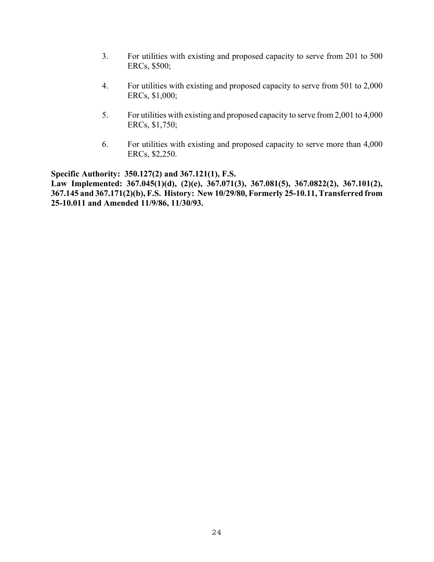- 3. For utilities with existing and proposed capacity to serve from 201 to 500 ERCs, \$500;
- 4. For utilities with existing and proposed capacity to serve from 501 to 2,000 ERCs, \$1,000;
- 5. For utilities with existing and proposed capacity to serve from 2,001 to 4,000 ERCs, \$1,750;
- 6. For utilities with existing and proposed capacity to serve more than 4,000 ERCs, \$2,250.

**Specific Authority: 350.127(2) and 367.121(1), F.S. Law Implemented: 367.045(1)(d), (2)(e), 367.071(3), 367.081(5), 367.0822(2), 367.101(2), 367.145 and 367.171(2)(b), F.S. History: New 10/29/80, Formerly 25-10.11, Transferred from 25-10.011 and Amended 11/9/86, 11/30/93.**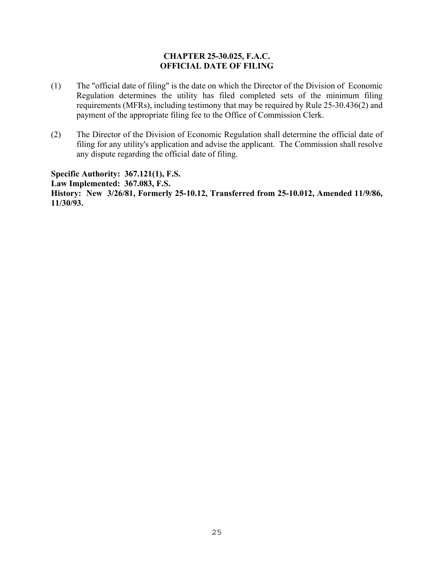### **CHAPTER 25-30.025, F.A.C. OFFICIAL DATE OF FILING**

- (1) The "official date of filing" is the date on which the Director of the Division of Economic Regulation determines the utility has filed completed sets of the minimum filing requirements (MFRs), including testimony that may be required by Rule 25-30.436(2) and payment of the appropriate filing fee to the Office of Commission Clerk.
- (2) The Director of the Division of Economic Regulation shall determine the official date of filing for any utility's application and advise the applicant. The Commission shall resolve any dispute regarding the official date of filing.

**Specific Authority: 367.121(1), F.S. Law Implemented: 367.083, F.S. History: New 3/26/81, Formerly 25-10.12, Transferred from 25-10.012, Amended 11/9/86, 11/30/93.**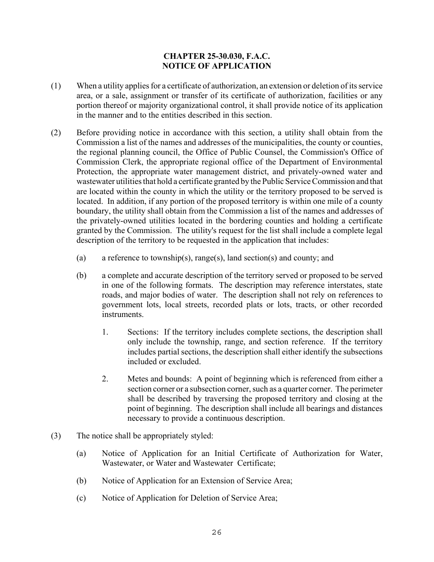## **CHAPTER 25-30.030, F.A.C. NOTICE OF APPLICATION**

- (1) When a utility applies for a certificate of authorization, an extension or deletion of its service area, or a sale, assignment or transfer of its certificate of authorization, facilities or any portion thereof or majority organizational control, it shall provide notice of its application in the manner and to the entities described in this section.
- (2) Before providing notice in accordance with this section, a utility shall obtain from the Commission a list of the names and addresses of the municipalities, the county or counties, the regional planning council, the Office of Public Counsel, the Commission's Office of Commission Clerk, the appropriate regional office of the Department of Environmental Protection, the appropriate water management district, and privately-owned water and wastewater utilities that hold a certificate granted by the Public Service Commission and that are located within the county in which the utility or the territory proposed to be served is located. In addition, if any portion of the proposed territory is within one mile of a county boundary, the utility shall obtain from the Commission a list of the names and addresses of the privately-owned utilities located in the bordering counties and holding a certificate granted by the Commission. The utility's request for the list shall include a complete legal description of the territory to be requested in the application that includes:
	- (a) a reference to township(s), range(s), land section(s) and county; and
	- (b) a complete and accurate description of the territory served or proposed to be served in one of the following formats. The description may reference interstates, state roads, and major bodies of water. The description shall not rely on references to government lots, local streets, recorded plats or lots, tracts, or other recorded instruments.
		- 1. Sections: If the territory includes complete sections, the description shall only include the township, range, and section reference. If the territory includes partial sections, the description shall either identify the subsections included or excluded.
		- 2. Metes and bounds: A point of beginning which is referenced from either a section corner or a subsection corner, such as a quarter corner. The perimeter shall be described by traversing the proposed territory and closing at the point of beginning. The description shall include all bearings and distances necessary to provide a continuous description.
- (3) The notice shall be appropriately styled:
	- (a) Notice of Application for an Initial Certificate of Authorization for Water, Wastewater, or Water and Wastewater Certificate;
	- (b) Notice of Application for an Extension of Service Area;
	- (c) Notice of Application for Deletion of Service Area;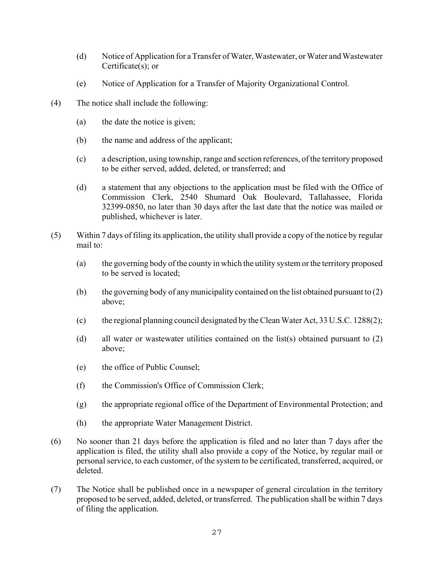- (d) Notice of Application for a Transfer of Water, Wastewater, or Water and Wastewater Certificate(s); or
- (e) Notice of Application for a Transfer of Majority Organizational Control.
- (4) The notice shall include the following:
	- (a) the date the notice is given;
	- (b) the name and address of the applicant;
	- (c) a description, using township, range and section references, of the territory proposed to be either served, added, deleted, or transferred; and
	- (d) a statement that any objections to the application must be filed with the Office of Commission Clerk, 2540 Shumard Oak Boulevard, Tallahassee, Florida 32399-0850, no later than 30 days after the last date that the notice was mailed or published, whichever is later.
- (5) Within 7 days of filing its application, the utility shall provide a copy of the notice by regular mail to:
	- (a) the governing body of the county in which the utility system or the territory proposed to be served is located;
	- (b) the governing body of any municipality contained on the list obtained pursuant to (2) above;
	- (c) the regional planning council designated by the Clean Water Act, 33 U.S.C. 1288(2);
	- (d) all water or wastewater utilities contained on the list(s) obtained pursuant to (2) above;
	- (e) the office of Public Counsel;
	- (f) the Commission's Office of Commission Clerk;
	- (g) the appropriate regional office of the Department of Environmental Protection; and
	- (h) the appropriate Water Management District.
- (6) No sooner than 21 days before the application is filed and no later than 7 days after the application is filed, the utility shall also provide a copy of the Notice, by regular mail or personal service, to each customer, of the system to be certificated, transferred, acquired, or deleted.
- (7) The Notice shall be published once in a newspaper of general circulation in the territory proposed to be served, added, deleted, or transferred. The publication shall be within 7 days of filing the application.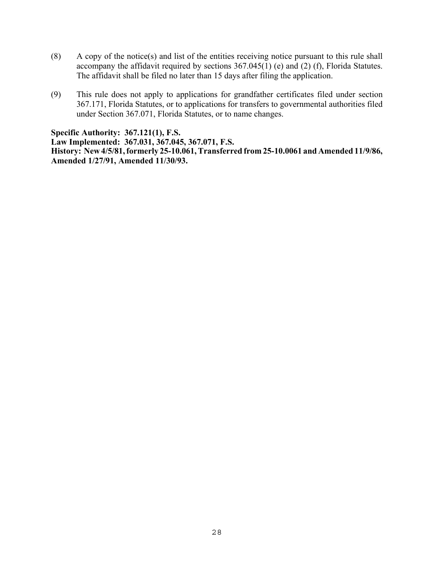- (8) A copy of the notice(s) and list of the entities receiving notice pursuant to this rule shall accompany the affidavit required by sections  $367.045(1)$  (e) and (2) (f), Florida Statutes. The affidavit shall be filed no later than 15 days after filing the application.
- (9) This rule does not apply to applications for grandfather certificates filed under section 367.171, Florida Statutes, or to applications for transfers to governmental authorities filed under Section 367.071, Florida Statutes, or to name changes.

**Specific Authority: 367.121(1), F.S. Law Implemented: 367.031, 367.045, 367.071, F.S. History: New 4/5/81, formerly 25-10.061, Transferred from 25-10.0061 and Amended 11/9/86, Amended 1/27/91, Amended 11/30/93.**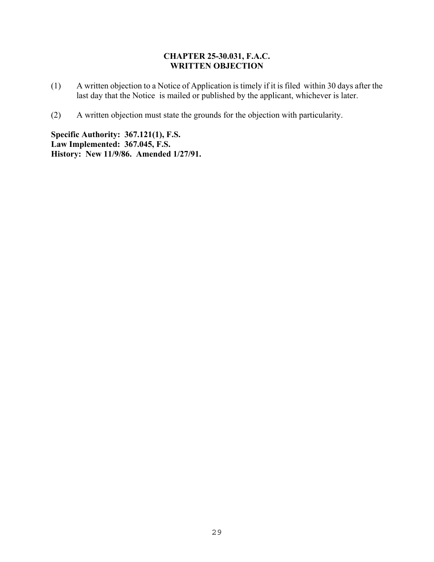#### **CHAPTER 25-30.031, F.A.C. WRITTEN OBJECTION**

- (1) A written objection to a Notice of Application is timely if it is filed within 30 days after the last day that the Notice is mailed or published by the applicant, whichever is later.
- (2) A written objection must state the grounds for the objection with particularity.

**Specific Authority: 367.121(1), F.S. Law Implemented: 367.045, F.S. History: New 11/9/86. Amended 1/27/91.**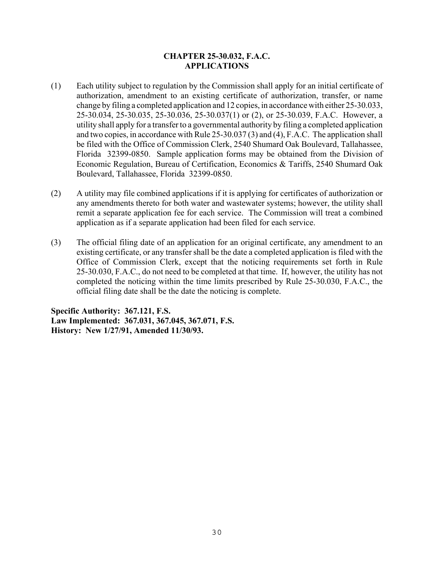## **CHAPTER 25-30.032, F.A.C. APPLICATIONS**

- (1) Each utility subject to regulation by the Commission shall apply for an initial certificate of authorization, amendment to an existing certificate of authorization, transfer, or name change by filing a completed application and 12 copies, in accordance with either 25-30.033, 25-30.034, 25-30.035, 25-30.036, 25-30.037(1) or (2), or 25-30.039, F.A.C. However, a utility shall apply for a transfer to a governmental authority by filing a completed application and two copies, in accordance with Rule 25-30.037 (3) and (4), F.A.C. The application shall be filed with the Office of Commission Clerk, 2540 Shumard Oak Boulevard, Tallahassee, Florida 32399-0850. Sample application forms may be obtained from the Division of Economic Regulation, Bureau of Certification, Economics & Tariffs, 2540 Shumard Oak Boulevard, Tallahassee, Florida 32399-0850.
- (2) A utility may file combined applications if it is applying for certificates of authorization or any amendments thereto for both water and wastewater systems; however, the utility shall remit a separate application fee for each service. The Commission will treat a combined application as if a separate application had been filed for each service.
- (3) The official filing date of an application for an original certificate, any amendment to an existing certificate, or any transfer shall be the date a completed application is filed with the Office of Commission Clerk, except that the noticing requirements set forth in Rule 25-30.030, F.A.C., do not need to be completed at that time. If, however, the utility has not completed the noticing within the time limits prescribed by Rule 25-30.030, F.A.C., the official filing date shall be the date the noticing is complete.

**Specific Authority: 367.121, F.S. Law Implemented: 367.031, 367.045, 367.071, F.S. History: New 1/27/91, Amended 11/30/93.**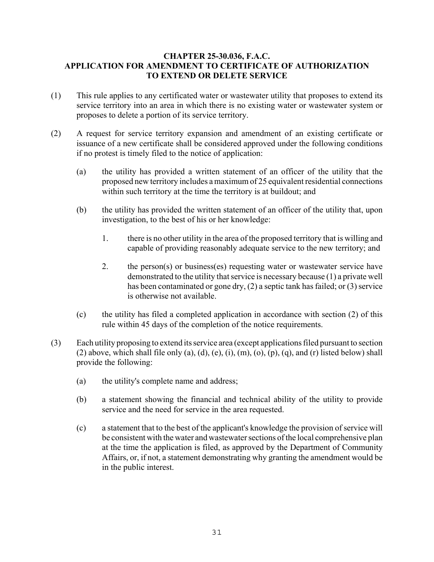## **CHAPTER 25-30.036, F.A.C. APPLICATION FOR AMENDMENT TO CERTIFICATE OF AUTHORIZATION TO EXTEND OR DELETE SERVICE**

- (1) This rule applies to any certificated water or wastewater utility that proposes to extend its service territory into an area in which there is no existing water or wastewater system or proposes to delete a portion of its service territory.
- (2) A request for service territory expansion and amendment of an existing certificate or issuance of a new certificate shall be considered approved under the following conditions if no protest is timely filed to the notice of application:
	- (a) the utility has provided a written statement of an officer of the utility that the proposed new territory includes a maximum of 25 equivalent residential connections within such territory at the time the territory is at buildout; and
	- (b) the utility has provided the written statement of an officer of the utility that, upon investigation, to the best of his or her knowledge:
		- 1. there is no other utility in the area of the proposed territory that is willing and capable of providing reasonably adequate service to the new territory; and
		- 2. the person(s) or business(es) requesting water or wastewater service have demonstrated to the utility that service is necessary because (1) a private well has been contaminated or gone dry, (2) a septic tank has failed; or (3) service is otherwise not available.
	- (c) the utility has filed a completed application in accordance with section (2) of this rule within 45 days of the completion of the notice requirements.
- (3) Each utility proposing to extend its service area (except applications filed pursuant to section (2) above, which shall file only (a), (d), (e), (i), (m), (o), (p), (q), and (r) listed below) shall provide the following:
	- (a) the utility's complete name and address;
	- (b) a statement showing the financial and technical ability of the utility to provide service and the need for service in the area requested.
	- (c) a statement that to the best of the applicant's knowledge the provision of service will be consistent with the water and wastewater sections of the local comprehensive plan at the time the application is filed, as approved by the Department of Community Affairs, or, if not, a statement demonstrating why granting the amendment would be in the public interest.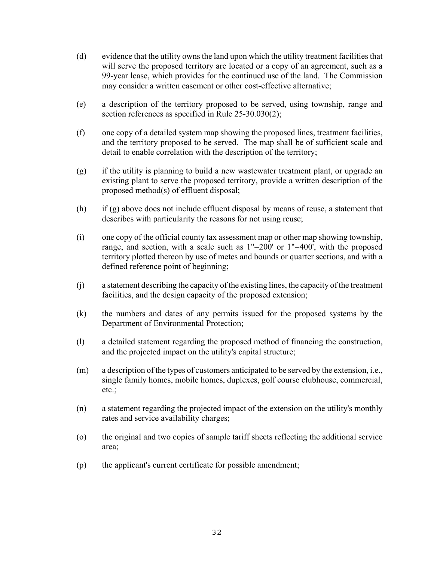- (d) evidence that the utility owns the land upon which the utility treatment facilities that will serve the proposed territory are located or a copy of an agreement, such as a 99-year lease, which provides for the continued use of the land. The Commission may consider a written easement or other cost-effective alternative;
- (e) a description of the territory proposed to be served, using township, range and section references as specified in Rule 25-30.030(2);
- (f) one copy of a detailed system map showing the proposed lines, treatment facilities, and the territory proposed to be served. The map shall be of sufficient scale and detail to enable correlation with the description of the territory;
- (g) if the utility is planning to build a new wastewater treatment plant, or upgrade an existing plant to serve the proposed territory, provide a written description of the proposed method(s) of effluent disposal;
- (h) if (g) above does not include effluent disposal by means of reuse, a statement that describes with particularity the reasons for not using reuse;
- (i) one copy of the official county tax assessment map or other map showing township, range, and section, with a scale such as 1"=200' or 1"=400', with the proposed territory plotted thereon by use of metes and bounds or quarter sections, and with a defined reference point of beginning;
- (j) a statement describing the capacity of the existing lines, the capacity of the treatment facilities, and the design capacity of the proposed extension;
- (k) the numbers and dates of any permits issued for the proposed systems by the Department of Environmental Protection;
- (l) a detailed statement regarding the proposed method of financing the construction, and the projected impact on the utility's capital structure;
- (m) a description of the types of customers anticipated to be served by the extension, i.e., single family homes, mobile homes, duplexes, golf course clubhouse, commercial, etc.;
- (n) a statement regarding the projected impact of the extension on the utility's monthly rates and service availability charges;
- (o) the original and two copies of sample tariff sheets reflecting the additional service area;
- (p) the applicant's current certificate for possible amendment;